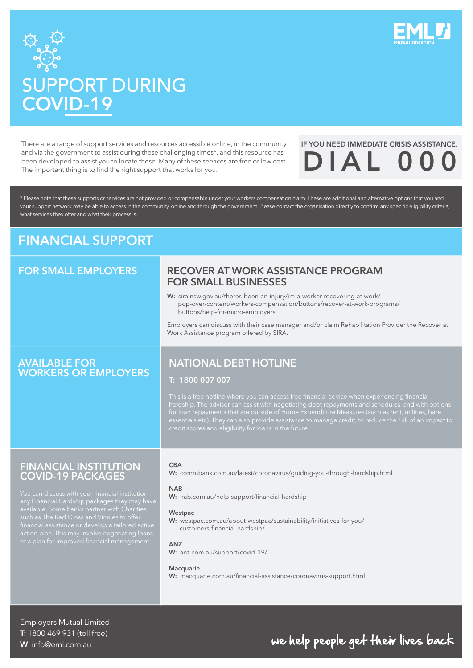



# SUPPORT DURING COVID-19

There are a range of support services and resources accessible online, in the community and via the government to assist during these challenging times\*, and this resource has been developed to assist you to locate these. Many of these services are free or low cost. The important thing is to find the right support that works for you.

## IF YOU NEED IMMEDIATE CRISIS ASSISTANCE.  $DIAL$

\* Please note that these supports or services are not provided or compensable under your workers compensation claim. These are additional and alternative options that you and your support network may be able to access in the community, online and through the government. Please contact the organisation directly to confirm any specific eligibility criteria, what services they offer and what their process is.

## FINANCIAL SUPPORT

## FOR SMALL EMPLOYERS

### RECOVER AT WORK ASSISTANCE PROGRAM FOR SMALL BUSINESSES

W: sira.nsw.gov.au/theres-been-an-injury/im-a-worker-recovering-at-work/ [pop-over-content/workers-compensation/buttons/recover-at-work-programs/](https://www.sira.nsw.gov.au/theres-been-an-injury/im-a-worker-recovering-at-work/pop-over-content/workers-compensation/buttons/recover-at-work-programs/buttons/help-for-micro-employers) buttons/help-for-micro-employers

Employers can discuss with their case manager and/or claim Rehabilitation Provider the Recover at Work Assistance program offered by SIRA.

### AVAILABLE FOR WORKERS OR EMPLOYERS

## NATIONAL DEBT HOTLINE

### T: 1800 007 007

### FINANCIAL INSTITUTION COVID-19 PACKAGES

action plan. This may involve negotiating loan:<br>or a plan for improved financial management.

### CBA

W: [commbank.com.au/latest/coronavirus/guiding-you-through-hardship.html](https://www.commbank.com.au/latest/coronavirus/guiding-you-through-hardship.html)

### **NAB**

W: [nab.com.au/help-support/financial-hardship](https://www.nab.com.au/help-support/financial-hardship)

### **Westpac**

W: [westpac.com.au/about-westpac/sustainability/initiatives-for-you/](https://www.westpac.com.au/about-westpac/sustainability/initiatives-for-you/customers-financial-hardship/) customers-financial-hardship/

### ANZ

W: [anz.com.au/support/covid-19/](https://www.anz.com.au/support/covid-19/)

### **Macquarie**

W: [macquarie.com.au/financial-assistance/coronavirus-support.html](https://www.macquarie.com.au/financial-assistance/coronavirus-support.html)

Employers Mutual Limited T: 1800 469 931 (toll free) W: info@eml.com.au

## we help people get their lives back